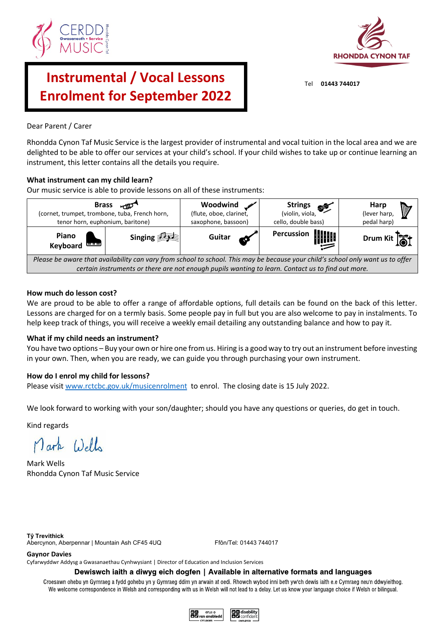



# **Instrumental / Vocal Lessons Enrolment for September 2022**

# Dear Parent / Carer

Rhondda Cynon Taf Music Service is the largest provider of instrumental and vocal tuition in the local area and we are delighted to be able to offer our services at your child's school. If your child wishes to take up or continue learning an instrument, this letter contains all the details you require.

# **What instrument can my child learn?**

Our music service is able to provide lessons on all of these instruments:



# **How much do lesson cost?**

We are proud to be able to offer a range of affordable options, full details can be found on the back of this letter. Lessons are charged for on a termly basis. Some people pay in full but you are also welcome to pay in instalments. To help keep track of things, you will receive a weekly email detailing any outstanding balance and how to pay it.

## **What if my child needs an instrument?**

You have two options – Buy your own or hire one from us. Hiring is a good way to try out an instrument before investing in your own. Then, when you are ready, we can guide you through purchasing your own instrument.

## **How do I enrol my child for lessons?**

Please visi[t www.rctcbc.gov.uk/musicenrolment](http://www.rctcbc.gov.uk/musicenrolment) to enrol. The closing date is 15 July 2022.

We look forward to working with your son/daughter; should you have any questions or queries, do get in touch.

Kind regards

Mark Wells

Mark Wells Rhondda Cynon Taf Music Service

**Tŷ Trevithick** Abercynon, Aberpennar | Mountain Ash CF45 4UQ Ffôn/Tel: 01443 744017

#### **Gaynor Davies**

Cyfarwyddwr Addysg a Gwasanaethau Cynhwysiant | Director of Education and Inclusion Services

#### Dewiswch iaith a diwyg eich dogfen | Available in alternative formats and languages

Croesawn ohebu yn Gymraeg a fydd gohebu yn y Gymraeg ddim yn arwain at oedi. Rhowch wybod inni beth yw'ch dewis iaith e.e Cymraeg neu'n ddwyieithog. We welcome correspondence in Welsh and corresponding with us in Welsh will not lead to a delay. Let us know your language choice if Welsh or bilingual.